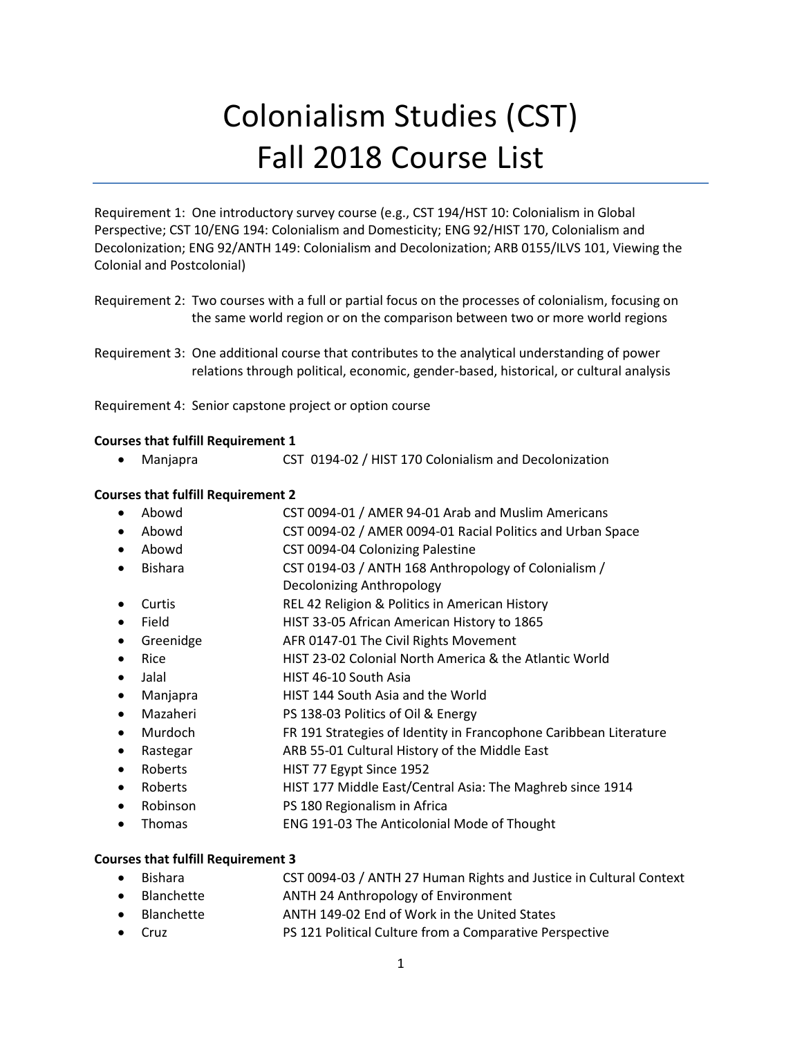# Colonialism Studies (CST) Fall 2018 Course List

Requirement 1: One introductory survey course (e.g., CST 194/HST 10: Colonialism in Global Perspective; CST 10/ENG 194: Colonialism and Domesticity; ENG 92/HIST 170, Colonialism and Decolonization; ENG 92/ANTH 149: Colonialism and Decolonization; ARB 0155/ILVS 101, Viewing the Colonial and Postcolonial)

Requirement 2: Two courses with a full or partial focus on the processes of colonialism, focusing on the same world region or on the comparison between two or more world regions

Requirement 4: Senior capstone project or option course

#### **Courses that fulfill Requirement 1**

• Manjapra CST 0194-02 / HIST 170 Colonialism and Decolonization

#### **Courses that fulfill Requirement 2**

- Abowd CST 0094-01 / AMER 94-01 Arab and Muslim Americans
- Abowd CST 0094-02 / AMER 0094-01 Racial Politics and Urban Space
- Abowd CST 0094-04 Colonizing Palestine
- Bishara CST 0194-03 / ANTH 168 Anthropology of Colonialism /
- Decolonizing Anthropology
- Curtis REL 42 Religion & Politics in American History
- Field HIST 33-05 African American History to 1865
- Greenidge **AFR 0147-01 The Civil Rights Movement**
- Rice **HIST 23-02 Colonial North America & the Atlantic World**
- Jalal **HIST 46-10 South Asia**
- Manjapra **HIST 144 South Asia and the World**
- Mazaheri PS 138-03 Politics of Oil & Energy
- Murdoch FR 191 Strategies of Identity in Francophone Caribbean Literature
- Rastegar **ARB 55-01 Cultural History of the Middle East**
- Roberts **HIST 77 Egypt Since 1952**
- Roberts HIST 177 Middle East/Central Asia: The Maghreb since 1914
- Robinson PS 180 Regionalism in Africa
- Thomas ENG 191-03 The Anticolonial Mode of Thought

## **Courses that fulfill Requirement 3**

- Bishara CST 0094-03 / ANTH 27 Human Rights and Justice in Cultural Context
- Blanchette ANTH 24 Anthropology of Environment
- Blanchette ANTH 149-02 End of Work in the United States
- Cruz PS 121 Political Culture from a Comparative Perspective

Requirement 3: One additional course that contributes to the analytical understanding of power relations through political, economic, gender-based, historical, or cultural analysis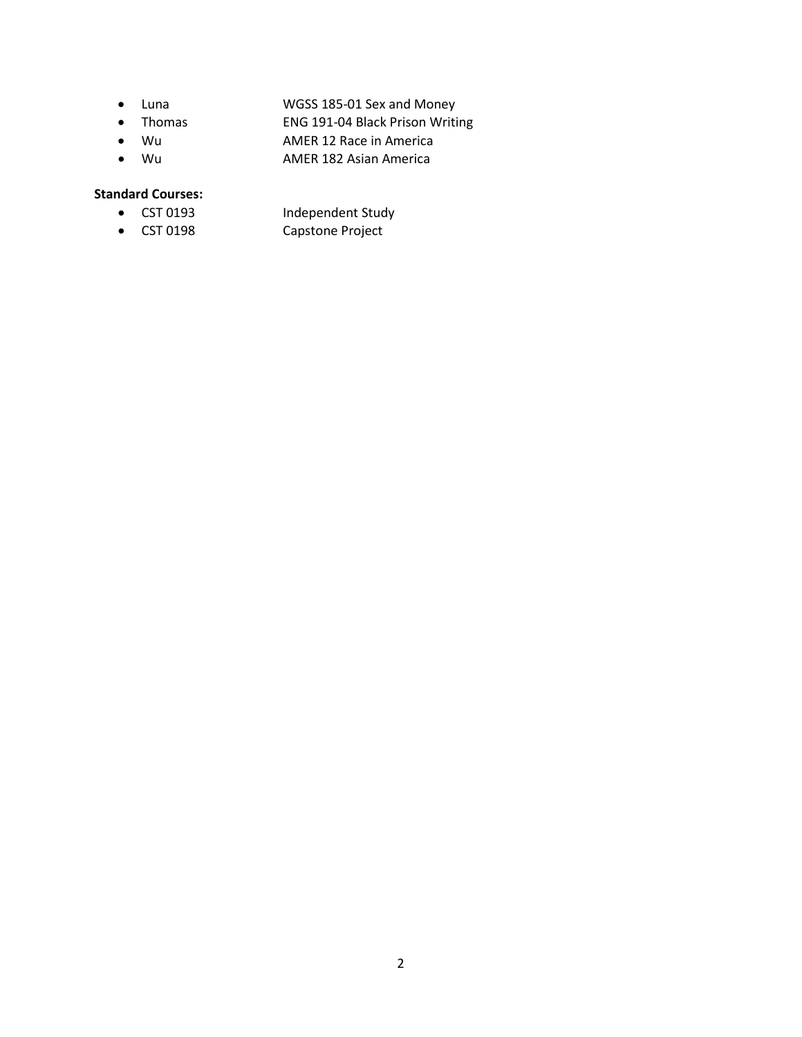- Luna WGSS 185-01 Sex and Money
- Thomas ENG 191-04 Black Prison Writing
- Wu AMER 12 Race in America
- Wu AMER 182 Asian America

## **Standard Courses:**

- 
- 
- CST 0193 Independent Study • CST 0198 Capstone Project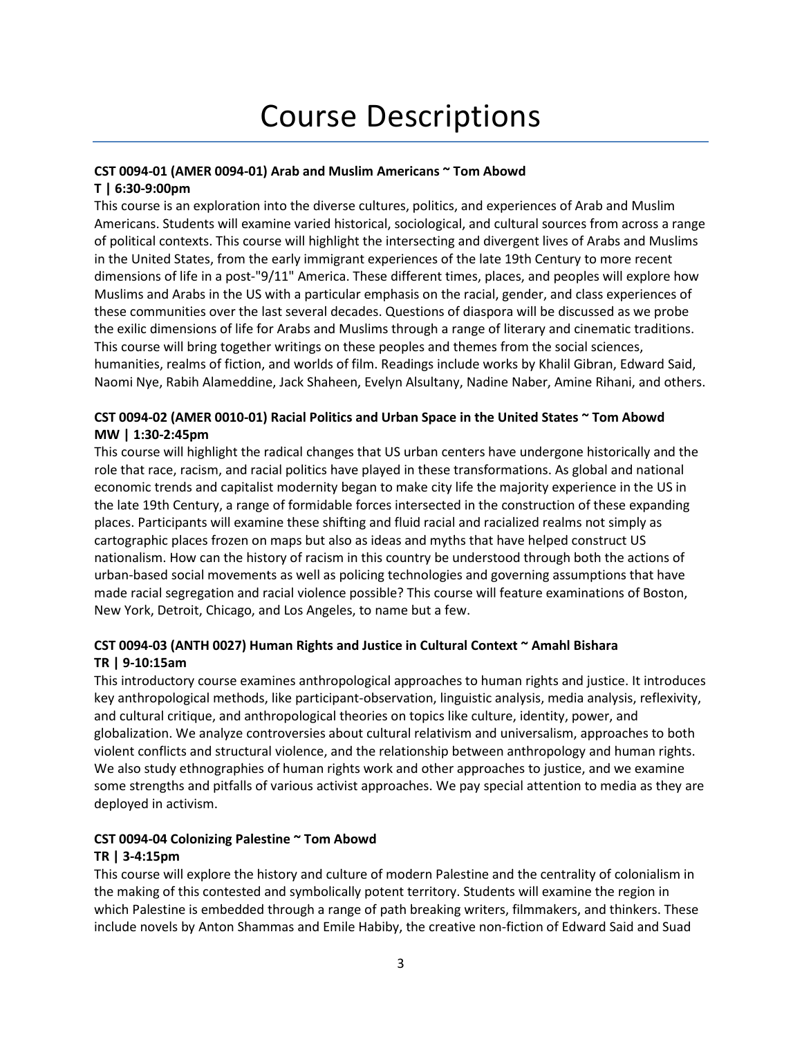# Course Descriptions

## **CST 0094-01 (AMER 0094-01) Arab and Muslim Americans ~ Tom Abowd**

## **T | 6:30-9:00pm**

This course is an exploration into the diverse cultures, politics, and experiences of Arab and Muslim Americans. Students will examine varied historical, sociological, and cultural sources from across a range of political contexts. This course will highlight the intersecting and divergent lives of Arabs and Muslims in the United States, from the early immigrant experiences of the late 19th Century to more recent dimensions of life in a post-"9/11" America. These different times, places, and peoples will explore how Muslims and Arabs in the US with a particular emphasis on the racial, gender, and class experiences of these communities over the last several decades. Questions of diaspora will be discussed as we probe the exilic dimensions of life for Arabs and Muslims through a range of literary and cinematic traditions. This course will bring together writings on these peoples and themes from the social sciences, humanities, realms of fiction, and worlds of film. Readings include works by Khalil Gibran, Edward Said, Naomi Nye, Rabih Alameddine, Jack Shaheen, Evelyn Alsultany, Nadine Naber, Amine Rihani, and others.

## **CST 0094-02 (AMER 0010-01) Racial Politics and Urban Space in the United States ~ Tom Abowd MW | 1:30-2:45pm**

This course will highlight the radical changes that US urban centers have undergone historically and the role that race, racism, and racial politics have played in these transformations. As global and national economic trends and capitalist modernity began to make city life the majority experience in the US in the late 19th Century, a range of formidable forces intersected in the construction of these expanding places. Participants will examine these shifting and fluid racial and racialized realms not simply as cartographic places frozen on maps but also as ideas and myths that have helped construct US nationalism. How can the history of racism in this country be understood through both the actions of urban-based social movements as well as policing technologies and governing assumptions that have made racial segregation and racial violence possible? This course will feature examinations of Boston, New York, Detroit, Chicago, and Los Angeles, to name but a few.

## **CST 0094-03 (ANTH 0027) Human Rights and Justice in Cultural Context ~ Amahl Bishara TR | 9-10:15am**

This introductory course examines anthropological approaches to human rights and justice. It introduces key anthropological methods, like participant-observation, linguistic analysis, media analysis, reflexivity, and cultural critique, and anthropological theories on topics like culture, identity, power, and globalization. We analyze controversies about cultural relativism and universalism, approaches to both violent conflicts and structural violence, and the relationship between anthropology and human rights. We also study ethnographies of human rights work and other approaches to justice, and we examine some strengths and pitfalls of various activist approaches. We pay special attention to media as they are deployed in activism.

## **CST 0094-04 Colonizing Palestine ~ Tom Abowd**

## **TR | 3-4:15pm**

This course will explore the history and culture of modern Palestine and the centrality of colonialism in the making of this contested and symbolically potent territory. Students will examine the region in which Palestine is embedded through a range of path breaking writers, filmmakers, and thinkers. These include novels by Anton Shammas and Emile Habiby, the creative non-fiction of Edward Said and Suad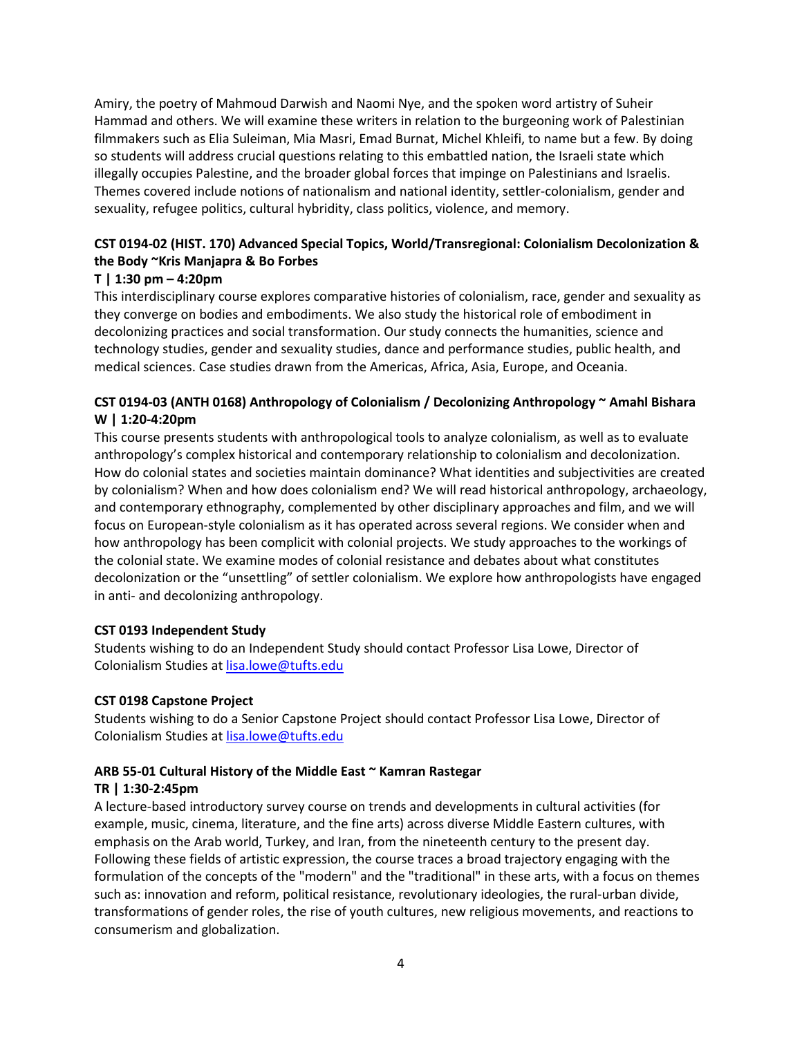Amiry, the poetry of Mahmoud Darwish and Naomi Nye, and the spoken word artistry of Suheir Hammad and others. We will examine these writers in relation to the burgeoning work of Palestinian filmmakers such as Elia Suleiman, Mia Masri, Emad Burnat, Michel Khleifi, to name but a few. By doing so students will address crucial questions relating to this embattled nation, the Israeli state which illegally occupies Palestine, and the broader global forces that impinge on Palestinians and Israelis. Themes covered include notions of nationalism and national identity, settler-colonialism, gender and sexuality, refugee politics, cultural hybridity, class politics, violence, and memory.

## **CST 0194-02 (HIST. 170) Advanced Special Topics, World/Transregional: Colonialism Decolonization & the Body ~Kris Manjapra & Bo Forbes**

## **T | 1:30 pm – 4:20pm**

This interdisciplinary course explores comparative histories of colonialism, race, gender and sexuality as they converge on bodies and embodiments. We also study the historical role of embodiment in decolonizing practices and social transformation. Our study connects the humanities, science and technology studies, gender and sexuality studies, dance and performance studies, public health, and medical sciences. Case studies drawn from the Americas, Africa, Asia, Europe, and Oceania.

## **CST 0194-03 (ANTH 0168) Anthropology of Colonialism / Decolonizing Anthropology ~ Amahl Bishara W | 1:20-4:20pm**

This course presents students with anthropological tools to analyze colonialism, as well as to evaluate anthropology's complex historical and contemporary relationship to colonialism and decolonization. How do colonial states and societies maintain dominance? What identities and subjectivities are created by colonialism? When and how does colonialism end? We will read historical anthropology, archaeology, and contemporary ethnography, complemented by other disciplinary approaches and film, and we will focus on European-style colonialism as it has operated across several regions. We consider when and how anthropology has been complicit with colonial projects. We study approaches to the workings of the colonial state. We examine modes of colonial resistance and debates about what constitutes decolonization or the "unsettling" of settler colonialism. We explore how anthropologists have engaged in anti- and decolonizing anthropology.

## **CST 0193 Independent Study**

Students wishing to do an Independent Study should contact Professor Lisa Lowe, Director of Colonialism Studies a[t lisa.lowe@tufts.edu](mailto:lisa.lowe@tufts.edu)

## **CST 0198 Capstone Project**

Students wishing to do a Senior Capstone Project should contact Professor Lisa Lowe, Director of Colonialism Studies a[t lisa.lowe@tufts.edu](mailto:lisa.lowe@tufts.edu)

## **ARB 55-01 Cultural History of the Middle East ~ Kamran Rastegar**

## **TR | 1:30-2:45pm**

A lecture-based introductory survey course on trends and developments in cultural activities (for example, music, cinema, literature, and the fine arts) across diverse Middle Eastern cultures, with emphasis on the Arab world, Turkey, and Iran, from the nineteenth century to the present day. Following these fields of artistic expression, the course traces a broad trajectory engaging with the formulation of the concepts of the "modern" and the "traditional" in these arts, with a focus on themes such as: innovation and reform, political resistance, revolutionary ideologies, the rural-urban divide, transformations of gender roles, the rise of youth cultures, new religious movements, and reactions to consumerism and globalization.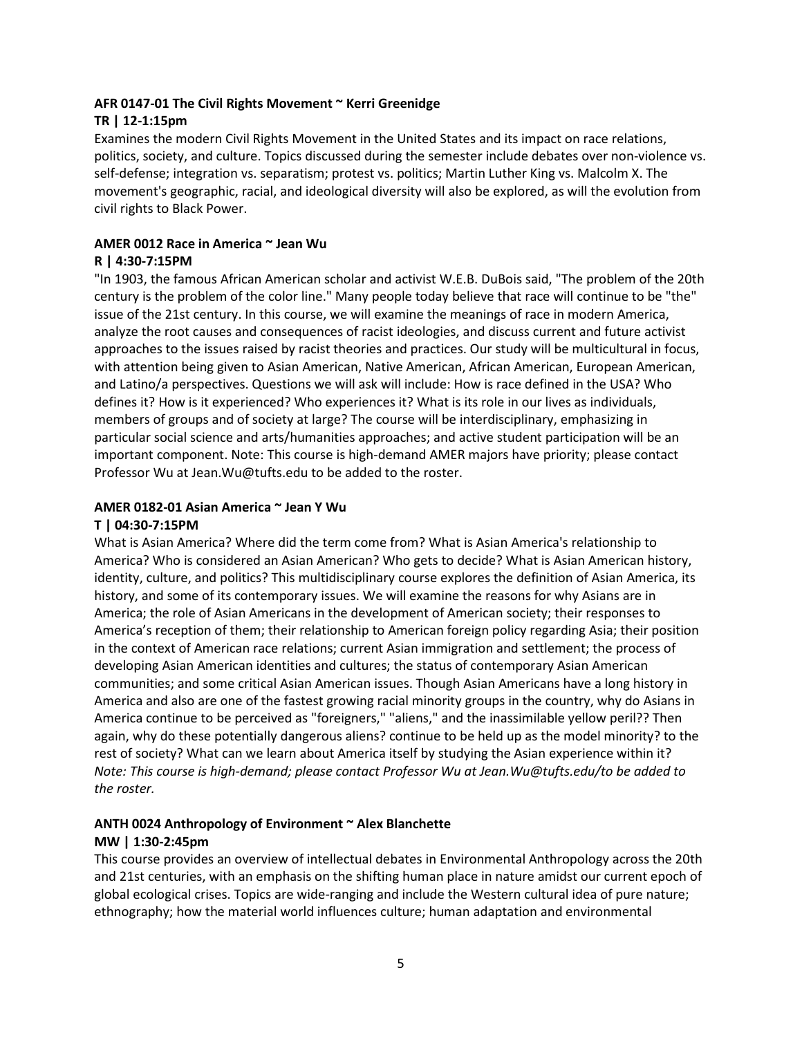## **AFR 0147-01 The Civil Rights Movement ~ Kerri Greenidge**

## **TR | 12-1:15pm**

Examines the modern Civil Rights Movement in the United States and its impact on race relations, politics, society, and culture. Topics discussed during the semester include debates over non-violence vs. self-defense; integration vs. separatism; protest vs. politics; Martin Luther King vs. Malcolm X. The movement's geographic, racial, and ideological diversity will also be explored, as will the evolution from civil rights to Black Power.

## **AMER 0012 Race in America ~ Jean Wu**

## **R | 4:30-7:15PM**

"In 1903, the famous African American scholar and activist W.E.B. DuBois said, "The problem of the 20th century is the problem of the color line." Many people today believe that race will continue to be "the" issue of the 21st century. In this course, we will examine the meanings of race in modern America, analyze the root causes and consequences of racist ideologies, and discuss current and future activist approaches to the issues raised by racist theories and practices. Our study will be multicultural in focus, with attention being given to Asian American, Native American, African American, European American, and Latino/a perspectives. Questions we will ask will include: How is race defined in the USA? Who defines it? How is it experienced? Who experiences it? What is its role in our lives as individuals, members of groups and of society at large? The course will be interdisciplinary, emphasizing in particular social science and arts/humanities approaches; and active student participation will be an important component. Note: This course is high-demand AMER majors have priority; please contact Professor Wu at Jean.Wu@tufts.edu to be added to the roster.

## **AMER 0182-01 Asian America ~ Jean Y Wu**

## **T | 04:30-7:15PM**

What is Asian America? Where did the term come from? What is Asian America's relationship to America? Who is considered an Asian American? Who gets to decide? What is Asian American history, identity, culture, and politics? This multidisciplinary course explores the definition of Asian America, its history, and some of its contemporary issues. We will examine the reasons for why Asians are in America; the role of Asian Americans in the development of American society; their responses to America's reception of them; their relationship to American foreign policy regarding Asia; their position in the context of American race relations; current Asian immigration and settlement; the process of developing Asian American identities and cultures; the status of contemporary Asian American communities; and some critical Asian American issues. Though Asian Americans have a long history in America and also are one of the fastest growing racial minority groups in the country, why do Asians in America continue to be perceived as "foreigners," "aliens," and the inassimilable yellow peril?? Then again, why do these potentially dangerous aliens? continue to be held up as the model minority? to the rest of society? What can we learn about America itself by studying the Asian experience within it? *Note: This course is high-demand; please contact Professor Wu at Jean.Wu@tufts.edu/to be added to the roster.*

## **ANTH 0024 Anthropology of Environment ~ Alex Blanchette**

## **MW | 1:30-2:45pm**

This course provides an overview of intellectual debates in Environmental Anthropology across the 20th and 21st centuries, with an emphasis on the shifting human place in nature amidst our current epoch of global ecological crises. Topics are wide-ranging and include the Western cultural idea of pure nature; ethnography; how the material world influences culture; human adaptation and environmental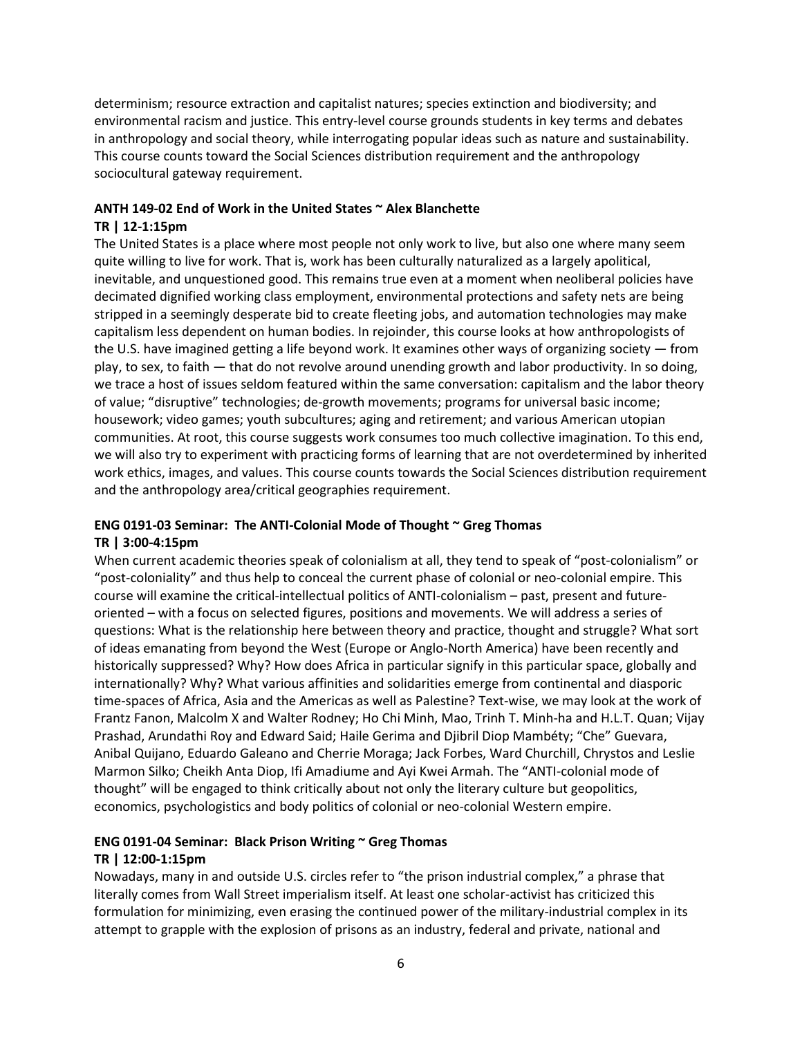determinism; resource extraction and capitalist natures; species extinction and biodiversity; and environmental racism and justice. This entry-level course grounds students in key terms and debates in anthropology and social theory, while interrogating popular ideas such as nature and sustainability. This course counts toward the Social Sciences distribution requirement and the anthropology sociocultural gateway requirement.

## **ANTH 149-02 End of Work in the United States ~ Alex Blanchette**

## **TR | 12-1:15pm**

The United States is a place where most people not only work to live, but also one where many seem quite willing to live for work. That is, work has been culturally naturalized as a largely apolitical, inevitable, and unquestioned good. This remains true even at a moment when neoliberal policies have decimated dignified working class employment, environmental protections and safety nets are being stripped in a seemingly desperate bid to create fleeting jobs, and automation technologies may make capitalism less dependent on human bodies. In rejoinder, this course looks at how anthropologists of the U.S. have imagined getting a life beyond work. It examines other ways of organizing society — from play, to sex, to faith — that do not revolve around unending growth and labor productivity. In so doing, we trace a host of issues seldom featured within the same conversation: capitalism and the labor theory of value; "disruptive" technologies; de-growth movements; programs for universal basic income; housework; video games; youth subcultures; aging and retirement; and various American utopian communities. At root, this course suggests work consumes too much collective imagination. To this end, we will also try to experiment with practicing forms of learning that are not overdetermined by inherited work ethics, images, and values. This course counts towards the Social Sciences distribution requirement and the anthropology area/critical geographies requirement.

## **ENG 0191-03 Seminar: The ANTI-Colonial Mode of Thought ~ Greg Thomas TR | 3:00-4:15pm**

When current academic theories speak of colonialism at all, they tend to speak of "post-colonialism" or "post-coloniality" and thus help to conceal the current phase of colonial or neo-colonial empire. This course will examine the critical-intellectual politics of ANTI-colonialism – past, present and futureoriented – with a focus on selected figures, positions and movements. We will address a series of questions: What is the relationship here between theory and practice, thought and struggle? What sort of ideas emanating from beyond the West (Europe or Anglo-North America) have been recently and historically suppressed? Why? How does Africa in particular signify in this particular space, globally and internationally? Why? What various affinities and solidarities emerge from continental and diasporic time-spaces of Africa, Asia and the Americas as well as Palestine? Text-wise, we may look at the work of Frantz Fanon, Malcolm X and Walter Rodney; Ho Chi Minh, Mao, Trinh T. Minh-ha and H.L.T. Quan; Vijay Prashad, Arundathi Roy and Edward Said; Haile Gerima and Djibril Diop Mambéty; "Che" Guevara, Anibal Quijano, Eduardo Galeano and Cherrie Moraga; Jack Forbes, Ward Churchill, Chrystos and Leslie Marmon Silko; Cheikh Anta Diop, Ifi Amadiume and Ayi Kwei Armah. The "ANTI-colonial mode of thought" will be engaged to think critically about not only the literary culture but geopolitics, economics, psychologistics and body politics of colonial or neo-colonial Western empire.

## **ENG 0191-04 Seminar: Black Prison Writing ~ Greg Thomas**

## **TR | 12:00-1:15pm**

Nowadays, many in and outside U.S. circles refer to "the prison industrial complex," a phrase that literally comes from Wall Street imperialism itself. At least one scholar-activist has criticized this formulation for minimizing, even erasing the continued power of the military-industrial complex in its attempt to grapple with the explosion of prisons as an industry, federal and private, national and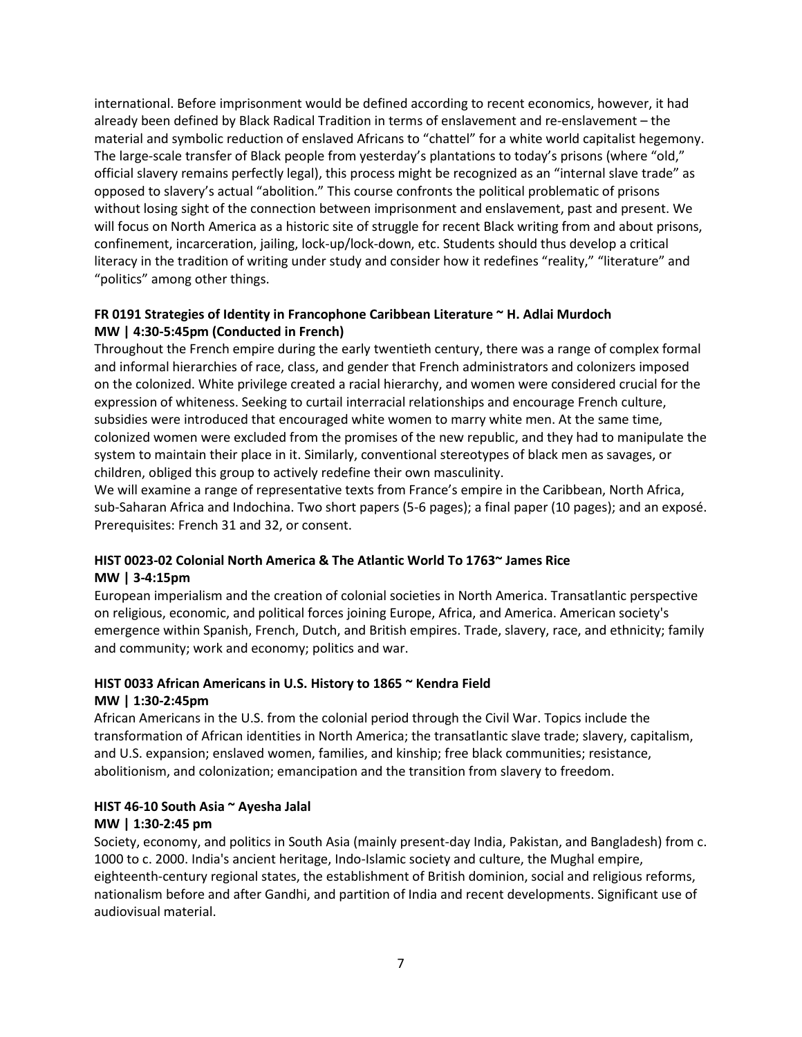international. Before imprisonment would be defined according to recent economics, however, it had already been defined by Black Radical Tradition in terms of enslavement and re-enslavement – the material and symbolic reduction of enslaved Africans to "chattel" for a white world capitalist hegemony. The large-scale transfer of Black people from yesterday's plantations to today's prisons (where "old," official slavery remains perfectly legal), this process might be recognized as an "internal slave trade" as opposed to slavery's actual "abolition." This course confronts the political problematic of prisons without losing sight of the connection between imprisonment and enslavement, past and present. We will focus on North America as a historic site of struggle for recent Black writing from and about prisons, confinement, incarceration, jailing, lock-up/lock-down, etc. Students should thus develop a critical literacy in the tradition of writing under study and consider how it redefines "reality," "literature" and "politics" among other things.

## **FR 0191 Strategies of Identity in Francophone Caribbean Literature ~ H. Adlai Murdoch MW | 4:30-5:45pm (Conducted in French)**

Throughout the French empire during the early twentieth century, there was a range of complex formal and informal hierarchies of race, class, and gender that French administrators and colonizers imposed on the colonized. White privilege created a racial hierarchy, and women were considered crucial for the expression of whiteness. Seeking to curtail interracial relationships and encourage French culture, subsidies were introduced that encouraged white women to marry white men. At the same time, colonized women were excluded from the promises of the new republic, and they had to manipulate the system to maintain their place in it. Similarly, conventional stereotypes of black men as savages, or children, obliged this group to actively redefine their own masculinity.

We will examine a range of representative texts from France's empire in the Caribbean, North Africa, sub-Saharan Africa and Indochina. Two short papers (5-6 pages); a final paper (10 pages); and an exposé. Prerequisites: French 31 and 32, or consent.

## **HIST 0023-02 Colonial North America & The Atlantic World To 1763~ James Rice MW | 3-4:15pm**

European imperialism and the creation of colonial societies in North America. Transatlantic perspective on religious, economic, and political forces joining Europe, Africa, and America. American society's emergence within Spanish, French, Dutch, and British empires. Trade, slavery, race, and ethnicity; family and community; work and economy; politics and war.

## **HIST 0033 African Americans in U.S. History to 1865 ~ Kendra Field MW | 1:30-2:45pm**

African Americans in the U.S. from the colonial period through the Civil War. Topics include the transformation of African identities in North America; the transatlantic slave trade; slavery, capitalism, and U.S. expansion; enslaved women, families, and kinship; free black communities; resistance, abolitionism, and colonization; emancipation and the transition from slavery to freedom.

# **HIST 46-10 South Asia ~ Ayesha Jalal**

## **MW | 1:30-2:45 pm**

Society, economy, and politics in South Asia (mainly present-day India, Pakistan, and Bangladesh) from c. 1000 to c. 2000. India's ancient heritage, Indo-Islamic society and culture, the Mughal empire, eighteenth-century regional states, the establishment of British dominion, social and religious reforms, nationalism before and after Gandhi, and partition of India and recent developments. Significant use of audiovisual material.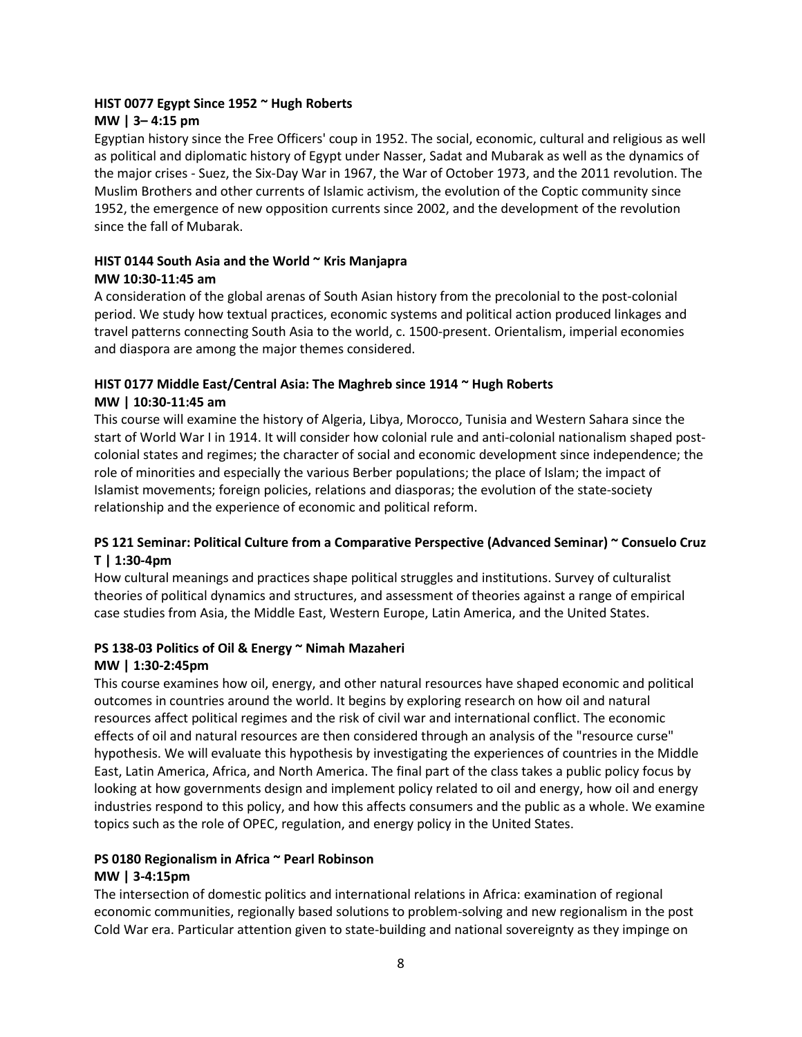## **HIST 0077 Egypt Since 1952 ~ Hugh Roberts MW | 3– 4:15 pm**

Egyptian history since the Free Officers' coup in 1952. The social, economic, cultural and religious as well as political and diplomatic history of Egypt under Nasser, Sadat and Mubarak as well as the dynamics of the major crises - Suez, the Six-Day War in 1967, the War of October 1973, and the 2011 revolution. The Muslim Brothers and other currents of Islamic activism, the evolution of the Coptic community since 1952, the emergence of new opposition currents since 2002, and the development of the revolution since the fall of Mubarak.

## **HIST 0144 South Asia and the World ~ Kris Manjapra MW 10:30-11:45 am**

A consideration of the global arenas of South Asian history from the precolonial to the post-colonial period. We study how textual practices, economic systems and political action produced linkages and travel patterns connecting South Asia to the world, c. 1500-present. Orientalism, imperial economies and diaspora are among the major themes considered.

## **HIST 0177 Middle East/Central Asia: The Maghreb since 1914 ~ Hugh Roberts MW | 10:30-11:45 am**

This course will examine the history of Algeria, Libya, Morocco, Tunisia and Western Sahara since the start of World War I in 1914. It will consider how colonial rule and anti-colonial nationalism shaped postcolonial states and regimes; the character of social and economic development since independence; the role of minorities and especially the various Berber populations; the place of Islam; the impact of Islamist movements; foreign policies, relations and diasporas; the evolution of the state-society relationship and the experience of economic and political reform.

## **PS 121 Seminar: Political Culture from a Comparative Perspective (Advanced Seminar) ~ Consuelo Cruz T | 1:30-4pm**

How cultural meanings and practices shape political struggles and institutions. Survey of culturalist theories of political dynamics and structures, and assessment of theories against a range of empirical case studies from Asia, the Middle East, Western Europe, Latin America, and the United States.

## **PS 138-03 Politics of Oil & Energy ~ Nimah Mazaheri**

## **MW | 1:30-2:45pm**

This course examines how oil, energy, and other natural resources have shaped economic and political outcomes in countries around the world. It begins by exploring research on how oil and natural resources affect political regimes and the risk of civil war and international conflict. The economic effects of oil and natural resources are then considered through an analysis of the "resource curse" hypothesis. We will evaluate this hypothesis by investigating the experiences of countries in the Middle East, Latin America, Africa, and North America. The final part of the class takes a public policy focus by looking at how governments design and implement policy related to oil and energy, how oil and energy industries respond to this policy, and how this affects consumers and the public as a whole. We examine topics such as the role of OPEC, regulation, and energy policy in the United States.

# **PS 0180 Regionalism in Africa ~ Pearl Robinson**

## **MW | 3-4:15pm**

The intersection of domestic politics and international relations in Africa: examination of regional economic communities, regionally based solutions to problem-solving and new regionalism in the post Cold War era. Particular attention given to state-building and national sovereignty as they impinge on